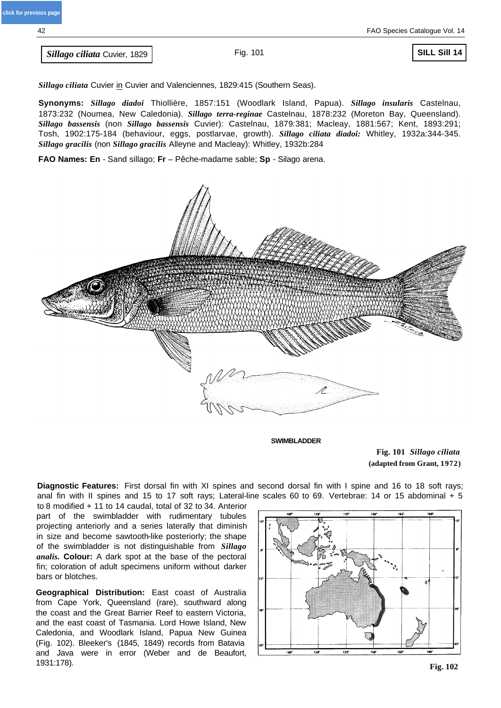**Sillago ciliata Cuvier, 1829** Fig. 101

**SILL Sill 14**

*Sillago ciliata* Cuvier in Cuvier and Valenciennes, 1829:415 (Southern Seas).

**Synonyms:** *Sillago diadoi* Thiollière, 1857:151 (Woodlark Island, Papua). *Sillago insularis* Castelnau, 1873:232 (Noumea, New Caledonia). *Sillago terra-reginae* Castelnau, 1878:232 (Moreton Bay, Queensland). *Sillago bassensis* (non *Sillago bassensis* Cuvier): Castelnau, 1879:381; Macleay, 1881:567; Kent, 1893:291; Tosh, 1902:175-184 (behaviour, eggs, postlarvae, growth). *Sillago ciliata diadoi:* Whitley, 1932a:344-345. *Sillago gracilis* (non *Sillago gracilis* Alleyne and Macleay): Whitley, 1932b:284

**FAO Names: En** - Sand sillago; **Fr** – Pêche-madame sable; **Sp** - Silago arena.



**SWIMBLADDER**

**Fig. 101** *Sillago ciliata*  **(adapted from Grant, 1972)**

**Diagnostic Features:** First dorsal fin with XI spines and second dorsal fin with I spine and 16 to 18 soft rays; anal fin with II spines and 15 to 17 soft rays; Lateral-line scales 60 to 69. Vertebrae: 14 or 15 abdominal + 5

to 8 modified + 11 to 14 caudal, total of 32 to 34. Anterior part of the swimbladder with rudimentary tubules projecting anteriorly and a series laterally that diminish in size and become sawtooth-like posteriorly; the shape of the swimbladder is not distinguishable from *Sillago analis.* **Colour:** A dark spot at the base of the pectoral fin; coloration of adult specimens uniform without darker bars or blotches.

**Geographical Distribution:** East coast of Australia from Cape York, Queensland (rare), southward along the coast and the Great Barrier Reef to eastern Victoria, and the east coast of Tasmania. Lord Howe Island, New Caledonia, and Woodlark Island, Papua New Guinea (Fig. 102). Bleeker's (1845, 1849) records from Batavia and Java were in error (Weber and de Beaufort, 1931:178).

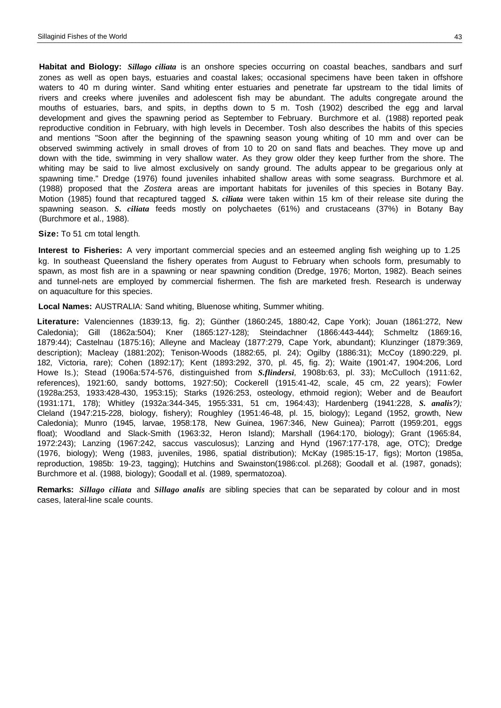**Habitat and Biology:** *Sillago ciliata* is an onshore species occurring on coastal beaches, sandbars and surf zones as well as open bays, estuaries and coastal lakes; occasional specimens have been taken in offshore waters to 40 m during winter. Sand whiting enter estuaries and penetrate far upstream to the tidal limits of rivers and creeks where juveniles and adolescent fish may be abundant. The adults congregate around the mouths of estuaries, bars, and spits, in depths down to 5 m. Tosh (1902) described the egg and larval development and gives the spawning period as September to February. Burchmore et al. (1988) reported peak reproductive condition in February, with high levels in December. Tosh also describes the habits of this species and mentions "Soon after the beginning of the spawning season young whiting of 10 mm and over can be observed swimming actively in small droves of from 10 to 20 on sand flats and beaches. They move up and down with the tide, swimming in very shallow water. As they grow older they keep further from the shore. The whiting may be said to live almost exclusively on sandy ground. The adults appear to be gregarious only at spawning time." Dredge (1976) found juveniles inhabited shallow areas with some seagrass. Burchmore et al. (1988) proposed that the *Zostera* areas are important habitats for juveniles of this species in Botany Bay. Motion (1985) found that recaptured tagged *S. ciliata* were taken within 15 km of their release site during the spawning season. *S. ciliata* feeds mostly on polychaetes (61%) and crustaceans (37%) in Botany Bay (Burchmore et al., 1988).

#### **Size:** To 51 cm total length.

**Interest to Fisheries:** A very important commercial species and an esteemed angling fish weighing up to 1.25 kg. In southeast Queensland the fishery operates from August to February when schools form, presumably to spawn, as most fish are in a spawning or near spawning condition (Dredge, 1976; Morton, 1982). Beach seines and tunnel-nets are employed by commercial fishermen. The fish are marketed fresh. Research is underway on aquaculture for this species.

**Local Names:** AUSTRALIA: Sand whiting, Bluenose whiting, Summer whiting.

**Literature:** Valenciennes (1839:13, fig. 2); Günther (1860:245, 1880:42, Cape York); Jouan (1861:272, New Caledonia); Gill (1862a:504); Kner (1865:127-128); Steindachner (1866:443-444); Schmeltz (1869:16, 1879:44); Castelnau (1875:16); Alleyne and Macleay (1877:279, Cape York, abundant); Klunzinger (1879:369, description); Macleay (1881:202); Tenison-Woods (1882:65, pl. 24); Ogilby (1886:31); McCoy (1890:229, pl. 182, Victoria, rare); Cohen (1892:17); Kent (1893:292, 370, pl. 45, fig. 2); Waite (1901:47, 1904:206, Lord Howe Is.); Stead (1906a:574-576, distinguished from *S.flindersi,* 1908b:63, pl. 33); McCulloch (1911:62, references), 1921:60, sandy bottoms, 1927:50); Cockerell (1915:41-42, scale, 45 cm, 22 years); Fowler (1928a:253, 1933:428-430, 1953:15); Starks (1926:253, osteology, ethmoid region); Weber and de Beaufort (1931:171, 178); Whitley (1932a:344-345, 1955:331, 51 cm, 1964:43); Hardenberg (1941:228, *S. analis?);*  Cleland (1947:215-228, biology, fishery); Roughley (1951:46-48, pl. 15, biology); Legand (1952, growth, New Caledonia); Munro (1945, larvae, 1958:178, New Guinea, 1967:346, New Guinea); Parrott (1959:201, eggs float); Woodland and Slack-Smith (1963:32, Heron Island); Marshall (1964:170, biology); Grant (1965:84, 1972:243); Lanzing (1967:242, saccus vasculosus); Lanzing and Hynd (1967:177-178, age, OTC); Dredge (1976, biology); Weng (1983, juveniles, 1986, spatial distribution); McKay (1985:15-17, figs); Morton (1985a, reproduction, 1985b: 19-23, tagging); Hutchins and Swainston(1986:col. pl.268); Goodall et al. (1987, gonads); Burchmore et al. (1988, biology); Goodall et al. (1989, spermatozoa).

**Remarks:** *Sillago ciliata* and *Sillago analis* are sibling species that can be separated by colour and in most cases, lateral-line scale counts.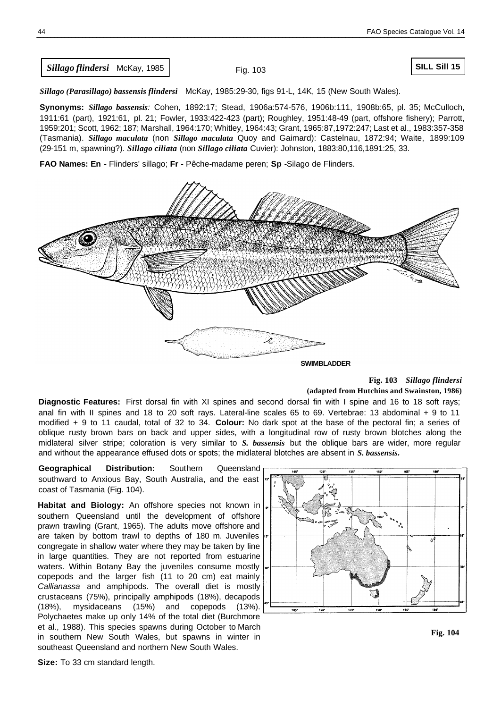*Sillago flindersi* McKay, 1985

Fig. 103

*Sillago (Parasillago) bassensis flindersi* McKay, 1985:29-30, figs 91-L, 14K, 15 (New South Wales).

**Synonyms:** *Sillago bassensis:* Cohen, 1892:17; Stead, 1906a:574-576, 1906b:111, 1908b:65, pl. 35; McCulloch, 1911:61 (part), 1921:61, pl. 21; Fowler, 1933:422-423 (part); Roughley, 1951:48-49 (part, offshore fishery); Parrott, 1959:201; Scott, 1962; 187; Marshall, 1964:170; Whitley, 1964:43; Grant, 1965:87,1972:247; Last et al., 1983:357-358 (Tasmania). *Sillago maculata* (non *Sillago maculata* Quoy and Gaimard): Castelnau, 1872:94; Waite, 1899:109 (29-151 m, spawning?). *Sillago ciliata* (non *Sillago ciliata* Cuvier): Johnston, 1883:80,116,1891:25, 33.

**FAO Names: En** - Flinders' sillago; **Fr** - Pêche-madame peren; **Sp** -Silago de Flinders.



**SWIMBLADDER**

# **Fig. 103** *Sillago flindersi*  **(adapted from Hutchins and Swainston, 1986)**

**Diagnostic Features:** First dorsal fin with XI spines and second dorsal fin with I spine and 16 to 18 soft rays; anal fin with II spines and 18 to 20 soft rays. Lateral-line scales 65 to 69. Vertebrae: 13 abdominal + 9 to 11 modified + 9 to 11 caudal, total of 32 to 34. **Colour:** No dark spot at the base of the pectoral fin; a series of oblique rusty brown bars on back and upper sides, with a longitudinal row of rusty brown blotches along the midlateral silver stripe; coloration is very similar to *S. bassensis* but the oblique bars are wider, more regular and without the appearance effused dots or spots; the midlateral blotches are absent in *S. bassensis.*

**Geographical Distribution:** Southern Queensland southward to Anxious Bay, South Australia, and the east coast of Tasmania (Fig. 104).

**Habitat and Biology:** An offshore species not known in southern Queensland until the development of offshore prawn trawling (Grant, 1965). The adults move offshore and are taken by bottom trawl to depths of 180 m. Juveniles congregate in shallow water where they may be taken by line in large quantities. They are not reported from estuarine waters. Within Botany Bay the juveniles consume mostly copepods and the larger fish (11 to 20 cm) eat mainly *Callianassa* and amphipods. The overall diet is mostly crustaceans (75%), principally amphipods (18%), decapods (18%), mysidaceans (15%) and copepods (13%). Polychaetes make up only 14% of the total diet (Burchmore et al., 1988). This species spawns during October to March in southern New South Wales, but spawns in winter in southeast Queensland and northern New South Wales.



**Fig. 104**

**Size:** To 33 cm standard length.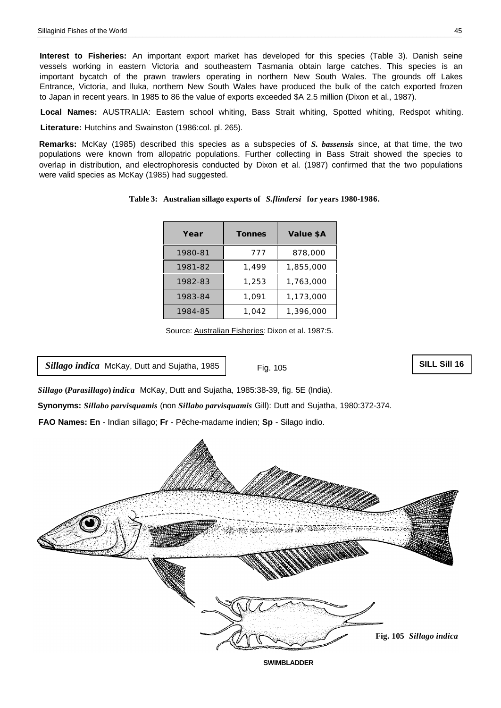**Interest to Fisheries:** An important export market has developed for this species (Table 3). Danish seine vessels working in eastern Victoria and southeastern Tasmania obtain large catches. This species is an important bycatch of the prawn trawlers operating in northern New South Wales. The grounds off Lakes Entrance, Victoria, and lluka, northern New South Wales have produced the bulk of the catch exported frozen to Japan in recent years. In 1985 to 86 the value of exports exceeded \$A 2.5 million (Dixon et al., 1987).

**Local Names:** AUSTRALIA: Eastern school whiting, Bass Strait whiting, Spotted whiting, Redspot whiting.

**Literature:** Hutchins and Swainston (1986:col. pl. 265).

**Remarks:** McKay (1985) described this species as a subspecies of *S. bassensis* since, at that time, the two populations were known from allopatric populations. Further collecting in Bass Strait showed the species to overlap in distribution, and electrophoresis conducted by Dixon et al. (1987) confirmed that the two populations were valid species as McKay (1985) had suggested.

| Year    | <b>Tonnes</b> | Value \$A |
|---------|---------------|-----------|
| 1980-81 | 777           | 878,000   |
| 1981-82 | 1.499         | 1,855,000 |
| 1982-83 | 1,253         | 1,763,000 |
| 1983-84 | 1.091         | 1,173,000 |
| 1984-85 | 1.042         | 1,396,000 |

**Table 3: Australian sillago exports of** *S.flindersi* **for years 1980-1986.**

Source: Australian Fisheries: Dixon et al. 1987:5.

*Sillago indica* McKay, Dutt and Sujatha, 1985

Fig. 105

```
SILL Sill 16
```
*Sillago* **(***Parasillago***)** *indica* McKay, Dutt and Sujatha, 1985:38-39, fig. 5E (India).

**Synonyms:** *Sillabo parvisquamis* (non *Sillabo parvisquamis* Gill): Dutt and Sujatha, 1980:372-374.

**FAO Names: En** - Indian sillago; **Fr** - Pêche-madame indien; **Sp** - Silago indio.

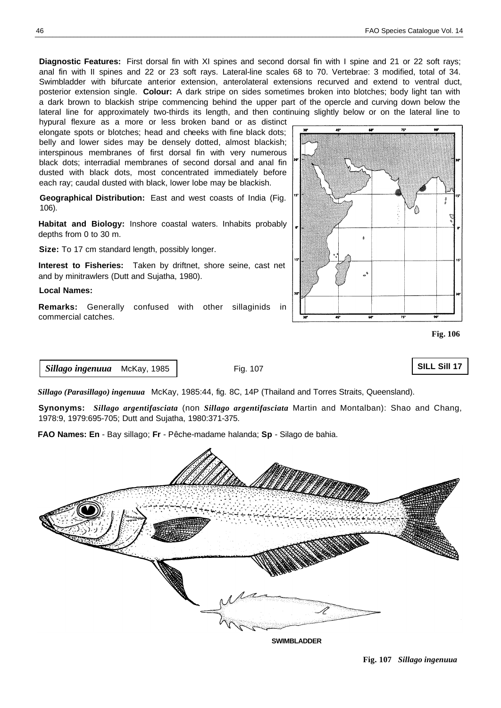**Diagnostic Features:** First dorsal fin with XI spines and second dorsal fin with I spine and 21 or 22 soft rays; anal fin with II spines and 22 or 23 soft rays. Lateral-line scales 68 to 70. Vertebrae: 3 modified, total of 34. Swimbladder with bifurcate anterior extension, anterolateral extensions recurved and extend to ventral duct, posterior extension single. **Colour:** A dark stripe on sides sometimes broken into blotches; body light tan with a dark brown to blackish stripe commencing behind the upper part of the opercle and curving down below the lateral line for approximately two-thirds its length, and then continuing slightly below or on the lateral line to

hypural flexure as a more or less broken band or as distinct elongate spots or blotches; head and cheeks with fine black dots; belly and lower sides may be densely dotted, almost blackish; interspinous membranes of first dorsal fin with very numerous black dots; interradial membranes of second dorsal and anal fin dusted with black dots, most concentrated immediately before each ray; caudal dusted with black, lower lobe may be blackish.

**Geographical Distribution:** East and west coasts of India (Fig. 106).

**Habitat and Biology:** Inshore coastal waters. Inhabits probably depths from 0 to 30 m.

**Size:** To 17 cm standard length, possibly longer.

**Interest to Fisheries:** Taken by driftnet, shore seine, cast net and by minitrawlers (Dutt and Sujatha, 1980).

#### **Local Names:**

**Remarks:** Generally confused with other sillaginids in commercial catches.



**Fig. 106**

**SILL Sill 17**

## *Sillago ingenuua* McKay, 1985

Fig. 107

*Sillago (Parasillago) ingenuua* McKay, 1985:44, fig. 8C, 14P (Thailand and Torres Straits, Queensland).

**Synonyms:** *Sillago argentifasciata* (non *Sillago argentifasciata* Martin and Montalban): Shao and Chang, 1978:9, 1979:695-705; Dutt and Sujatha, 1980:371-375.

**FAO Names: En** - Bay sillago; **Fr** - Pêche-madame halanda; **Sp** - Silago de bahia.



**SWIMBLADDER**

**Fig. 107** *Sillago ingenuua*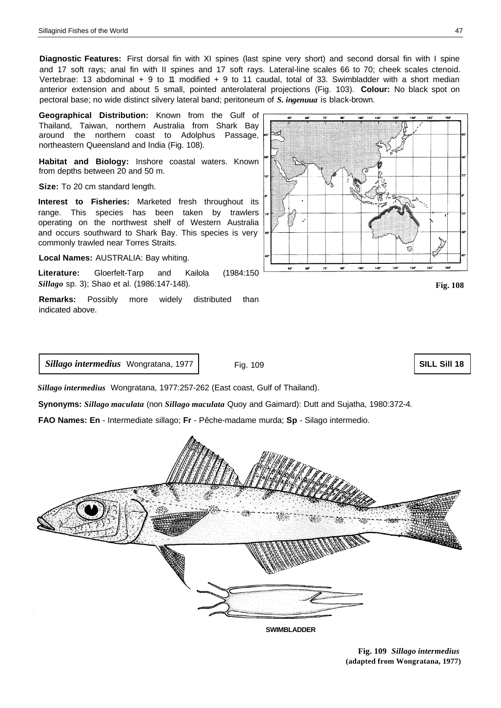**Diagnostic Features:** First dorsal fin with XI spines (last spine very short) and second dorsal fin with I spine and 17 soft rays; anal fin with II spines and 17 soft rays. Lateral-line scales 66 to 70; cheek scales ctenoid. Vertebrae: 13 abdominal + 9 to 11 modified + 9 to 11 caudal, total of 33. Swimbladder with a short median anterior extension and about 5 small, pointed anterolateral projections (Fig. 103). **Colour:** No black spot on pectoral base; no wide distinct silvery lateral band; peritoneum of *S. ingenuua* is black-brown.

**Geographical Distribution:** Known from the Gulf of Thailand, Taiwan, northern Australia from Shark Bay around the northern coast to Adolphus Passage, northeastern Queensland and India (Fig. 108).

**Habitat and Biology:** Inshore coastal waters. Known from depths between 20 and 50 m.

**Size:** To 20 cm standard length.

**Interest to Fisheries:** Marketed fresh throughout its range. This species has been taken by trawlers operating on the northwest shelf of Western Australia and occurs southward to Shark Bay. This species is very commonly trawled near Torres Straits.

**Local Names:** AUSTRALIA: Bay whiting.

**Literature:** Gloerfelt-Tarp and Kailola (1984:150 *Sillago* sp. 3); Shao et al. (1986:147-148).

**Remarks:** Possibly more widely distributed than indicated above.



**Fig. 108**

*Sillago intermedius* Wongratana, 1977

Fig. 109

**SILL Sill 18**

*Sillago intermedius* Wongratana, 1977:257-262 (East coast, Gulf of Thailand).

**Synonyms:** *Sillago maculata* (non *Sillago maculata* Quoy and Gaimard): Dutt and Sujatha, 1980:372-4.

**FAO Names: En** - Intermediate sillago; **Fr** - Pêche-madame murda; **Sp** - Silago intermedio.



**SWIMBLADDER**

**Fig. 109** *Sillago intermedius*  **(adapted from Wongratana, 1977)**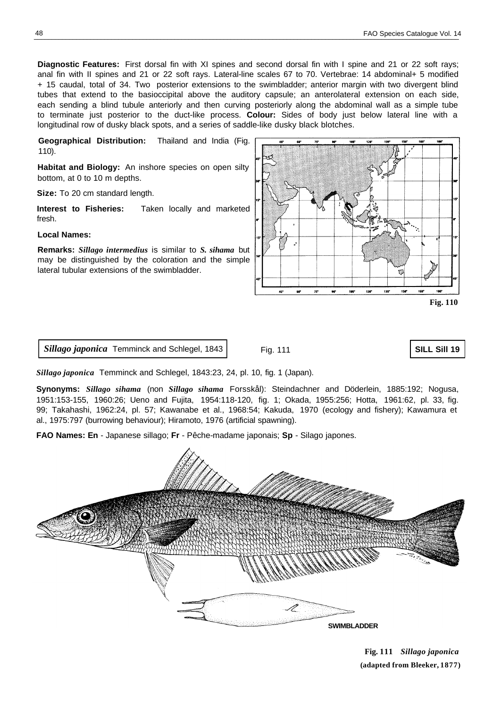**Diagnostic Features:** First dorsal fin with XI spines and second dorsal fin with I spine and 21 or 22 soft rays; anal fin with II spines and 21 or 22 soft rays. Lateral-line scales 67 to 70. Vertebrae: 14 abdominal+ 5 modified + 15 caudal, total of 34. Two posterior extensions to the swimbladder; anterior margin with two divergent blind tubes that extend to the basioccipital above the auditory capsule; an anterolateral extension on each side, each sending a blind tubule anteriorly and then curving posteriorly along the abdominal wall as a simple tube to terminate just posterior to the duct-like process. **Colour:** Sides of body just below lateral line with a longitudinal row of dusky black spots, and a series of saddle-like dusky black blotches.

**Geographical Distribution:** Thailand and India (Fig. 110).

**Habitat and Biology:** An inshore species on open silty bottom, at 0 to 10 m depths.

**Size:** To 20 cm standard length.

**Interest to Fisheries:** Taken locally and marketed fresh.

### **Local Names:**

**Remarks:** *Sillago intermedius* is similar to *S. sihama* but may be distinguished by the coloration and the simple lateral tubular extensions of the swimbladder.



**Fig. 110**

*Sillago japonica* Temminck and Schlegel, 1843

Fig. 111

**SILL Sill 19**

*Sillago japonica* Temminck and Schlegel, 1843:23, 24, pl. 10, fig. 1 (Japan).

**Synonyms:** *Sillago sihama* (non *Sillago sihama* Forsskål): Steindachner and Döderlein, 1885:192; Nogusa, 1951:153-155, 1960:26; Ueno and Fujita, 1954:118-120, fig. 1; Okada, 1955:256; Hotta, 1961:62, pl. 33, fig. 99; Takahashi, 1962:24, pl. 57; Kawanabe et al., 1968:54; Kakuda, 1970 (ecology and fishery); Kawamura et al., 1975:797 (burrowing behaviour); Hiramoto, 1976 (artificial spawning).

**FAO Names: En** - Japanese sillago; **Fr** - Pêche-madame japonais; **Sp** - Silago japones.



**Fig. 111** *Sillago japonica*  **(adapted from Bleeker, 1877)**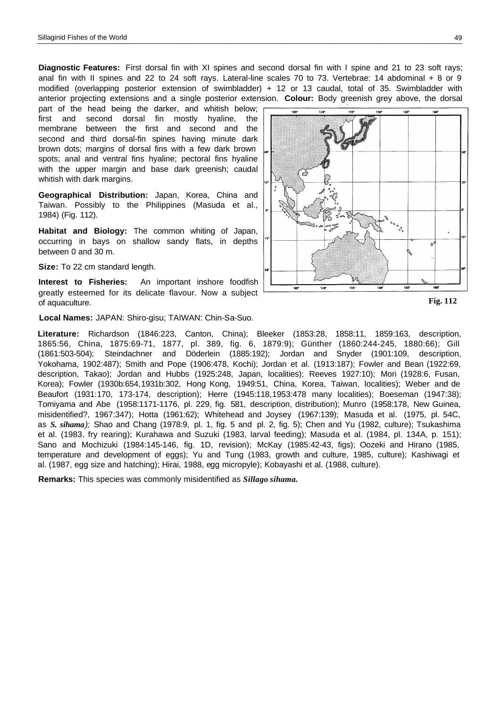<span id="page-7-0"></span>**Diagnostic Features:** First dorsal fin with XI spines and second dorsal fin with I spine and 21 to 23 soft rays; anal fin with II spines and 22 to 24 soft rays. Lateral-line scales 70 to 73. Vertebrae: 14 abdominal + 8 or 9 modified (overlapping posterior extension of swimbladder) + 12 or 13 caudal, total of 35. Swimbladder with anterior projecting extensions and a single posterior extension. **Colour:** Body greenish grey above, the dorsal

part of the head being the darker, and whitish below; first and second dorsal fin mostly hyaline, the membrane between the first and second and the second and third dorsal-fin spines having minute dark brown dots; margins of dorsal fins with a few dark brown spots; anal and ventral fins hyaline; pectoral fins hyaline with the upper margin and base dark greenish; caudal whitish with dark margins.

**Geographical Distribution:** Japan, Korea, China and Taiwan. Possibly to the Philippines (Masuda et al., 1984) (Fig. 112).

**Habitat and Biology:** The common whiting of Japan, occurring in bays on shallow sandy flats, in depths between 0 and 30 m.

**Size:** To 22 cm standard length.

**Interest to Fisheries:** An important inshore foodfish greatly esteemed for its delicate flavour. Now a subject of aquaculture.

**Local Names:** JAPAN: Shiro-gisu; TAIWAN: Chin-Sa-Suo.

**Literature:** Richardson (1846:223, Canton, China); Bleeker (1853:28, 1858:11, 1859:163, description, 1865:56, China, 1875:69-71, 1877, pl. 389, fig. 6, 1879:9); Günther (1860:244-245, 1880:66); Gill (1861:503-504); Steindachner and Döderlein (1885:192); Jordan and Snyder (1901:109, description, Yokohama, 1902:487); Smith and Pope (1906:478, Kochi); Jordan et al. (1913:187); Fowler and Bean (1922:69, description, Takao); Jordan and Hubbs (1925:248, Japan, localities); Reeves 1927:10); Mori (1928:6, Fusan, Korea); Fowler (1930b:654,1931b:302, Hong Kong, 1949:51, China, Korea, Taiwan, localities); Weber and de Beaufort (1931:170, 173-174, description); Herre (1945:118,1953:478 many localities); Boeseman (1947:38); Tomiyama and Abe (1958:1171-1176, pl. 229, fig. 581, description, distribution); Munro (1958:178, New Guinea, misidentified?, 1967:347); Hotta (1961:62); Whitehead and Joysey (1967:139); Masuda et al. (1975, pl. 54C, **Fig. 112**

as *S. sihama);* Shao and Chang (1978:9, pl. 1, fig. 5 and pl. 2, fig. 5); Chen and Yu (1982, culture); Tsukashima et al. (1983, fry rearing); Kurahawa and Suzuki (1983, larval feeding); Masuda et al. (1984, pl. 134A, p. 151); Sano and Mochizuki (1984:145-146, fig. 1D, revision); McKay (1985:42-43, figs); Oozeki and Hirano (1985, temperature and development of eggs); Yu and Tung (1983, growth and culture, 1985, culture); Kashiwagi et al. (1987, egg size and hatching); Hirai, 1988, egg micropyle); Kobayashi et al. (1988, culture).

**Remarks:** This species was commonly misidentified as *Sillago sihama.*